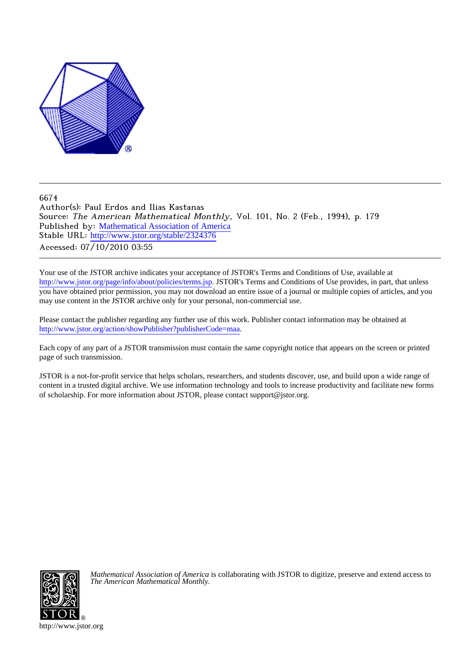

6674

Author(s): Paul Erdos and Ilias Kastanas Source: The American Mathematical Monthly, Vol. 101, No. 2 (Feb., 1994), p. 179 Published by: [Mathematical Association of America](http://www.jstor.org/action/showPublisher?publisherCode=maa) Stable URL: [http://www.jstor.org/stable/2324376](http://www.jstor.org/stable/2324376?origin=JSTOR-pdf) Accessed: 07/10/2010 03:55

Your use of the JSTOR archive indicates your acceptance of JSTOR's Terms and Conditions of Use, available at <http://www.jstor.org/page/info/about/policies/terms.jsp>. JSTOR's Terms and Conditions of Use provides, in part, that unless you have obtained prior permission, you may not download an entire issue of a journal or multiple copies of articles, and you may use content in the JSTOR archive only for your personal, non-commercial use.

Please contact the publisher regarding any further use of this work. Publisher contact information may be obtained at [http://www.jstor.org/action/showPublisher?publisherCode=maa.](http://www.jstor.org/action/showPublisher?publisherCode=maa)

Each copy of any part of a JSTOR transmission must contain the same copyright notice that appears on the screen or printed page of such transmission.

JSTOR is a not-for-profit service that helps scholars, researchers, and students discover, use, and build upon a wide range of content in a trusted digital archive. We use information technology and tools to increase productivity and facilitate new forms of scholarship. For more information about JSTOR, please contact support@jstor.org.



*Mathematical Association of America* is collaborating with JSTOR to digitize, preserve and extend access to *The American Mathematical Monthly.*